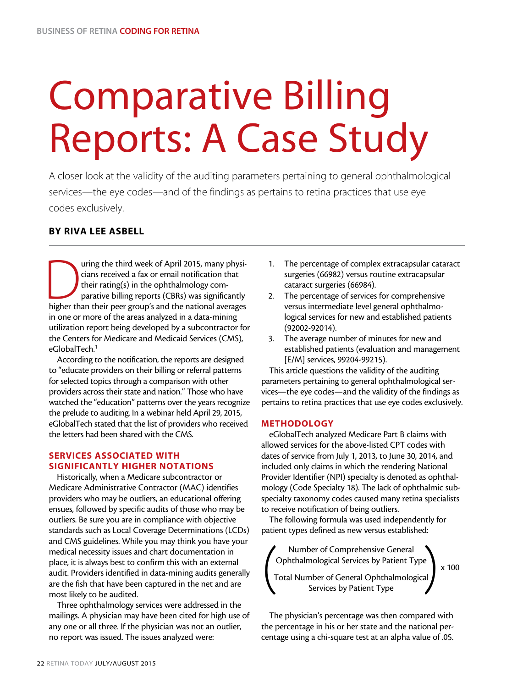# Comparative Billing Reports: A Case Study

A closer look at the validity of the auditing parameters pertaining to general ophthalmological services—the eye codes—and of the findings as pertains to retina practices that use eye codes exclusively.

# BY RIVA LEE ASBELL

Turing the third week of April 2015, many physicians received a fax or email notification that their rating(s) in the ophthalmology comparative billing reports (CBRs) was significantly higher than their peer group's and th cians received a fax or email notification that their rating(s) in the ophthalmology comparative billing reports (CBRs) was significantly in one or more of the areas analyzed in a data-mining utilization report being developed by a subcontractor for the Centers for Medicare and Medicaid Services (CMS), eGlobalTech.<sup>1</sup>

According to the notification, the reports are designed to "educate providers on their billing or referral patterns for selected topics through a comparison with other providers across their state and nation." Those who have watched the "education" patterns over the years recognize the prelude to auditing. In a webinar held April 29, 2015, eGlobalTech stated that the list of providers who received the letters had been shared with the CMS.

# SERVICES ASSOCIATED WITH SIGNIFICANTLY HIGHER NOTATIONS

Historically, when a Medicare subcontractor or Medicare Administrative Contractor (MAC) identifies providers who may be outliers, an educational offering ensues, followed by specific audits of those who may be outliers. Be sure you are in compliance with objective standards such as Local Coverage Determinations (LCDs) and CMS guidelines. While you may think you have your medical necessity issues and chart documentation in place, it is always best to confirm this with an external audit. Providers identified in data-mining audits generally are the fish that have been captured in the net and are most likely to be audited.

Three ophthalmology services were addressed in the mailings. A physician may have been cited for high use of any one or all three. If the physician was not an outlier, no report was issued. The issues analyzed were:

- 1. The percentage of complex extracapsular cataract surgeries (66982) versus routine extracapsular cataract surgeries (66984).
- 2. The percentage of services for comprehensive versus intermediate level general ophthalmological services for new and established patients (92002-92014).
- 3. The average number of minutes for new and established patients (evaluation and management [E/M] services, 99204-99215).

This article questions the validity of the auditing parameters pertaining to general ophthalmological services—the eye codes—and the validity of the findings as pertains to retina practices that use eye codes exclusively.

## METHODOLOGY

eGlobalTech analyzed Medicare Part B claims with allowed services for the above-listed CPT codes with dates of service from July 1, 2013, to June 30, 2014, and included only claims in which the rendering National Provider Identifier (NPI) specialty is denoted as ophthalmology (Code Specialty 18). The lack of ophthalmic subspecialty taxonomy codes caused many retina specialists to receive notification of being outliers.

The following formula was used independently for patient types defined as new versus established:



The physician's percentage was then compared with the percentage in his or her state and the national percentage using a chi-square test at an alpha value of .05.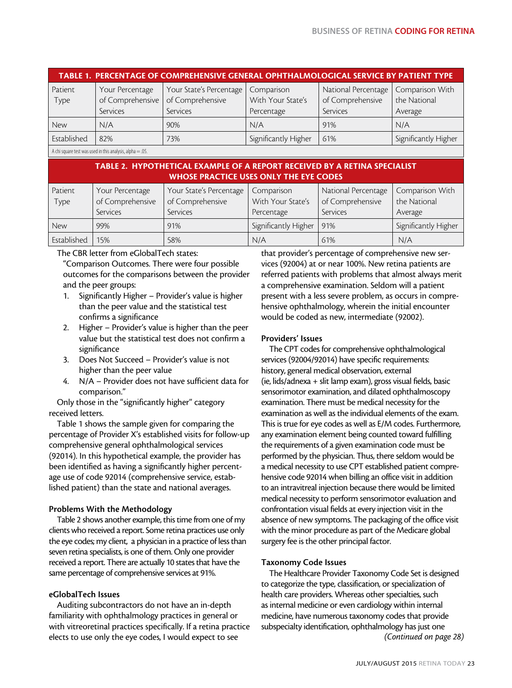| TABLE 1. PERCENTAGE OF COMPREHENSIVE GENERAL OPHTHALMOLOGICAL SERVICE BY PATIENT TYPE |                  |                         |                      |                     |                      |  |  |  |  |
|---------------------------------------------------------------------------------------|------------------|-------------------------|----------------------|---------------------|----------------------|--|--|--|--|
| Patient                                                                               | Your Percentage  | Your State's Percentage | Comparison           | National Percentage | Comparison With      |  |  |  |  |
| Type                                                                                  | of Comprehensive | of Comprehensive        | With Your State's    | of Comprehensive    | the National         |  |  |  |  |
|                                                                                       | Services         | Services                | Percentage           | Services            | Average              |  |  |  |  |
| New                                                                                   | N/A              | 90%                     | N/A                  | 91%                 | N/A                  |  |  |  |  |
| Established                                                                           | 82%              | 73%                     | Significantly Higher | 61%                 | Significantly Higher |  |  |  |  |
|                                                                                       |                  |                         |                      |                     |                      |  |  |  |  |

A chi square test was used in this analysis, alpha=.05.

## TABLE 2. HYPOTHETICAL EXAMPLE OF A REPORT RECEIVED BY A RETINA SPECIALIST WHOSE PRACTICE USES ONLY THE EYE CODES

| Patient<br>Type | Your Percentage<br>of Comprehensive<br>Services | Your State's Percentage<br>of Comprehensive<br>Services | Comparison<br>With Your State's<br>Percentage | National Percentage<br>of Comprehensive<br>Services | Comparison With<br>the National<br>Average |
|-----------------|-------------------------------------------------|---------------------------------------------------------|-----------------------------------------------|-----------------------------------------------------|--------------------------------------------|
| <b>New</b>      | 99%                                             | 91%                                                     | Significantly Higher                          | 91%                                                 | Significantly Higher                       |
| Established     | 15%                                             | 58%                                                     | N/A                                           | 61%                                                 | N/A                                        |

The CBR letter from eGlobalTech states:

"Comparison Outcomes. There were four possible outcomes for the comparisons between the provider and the peer groups:

- 1. Significantly Higher Provider's value is higher than the peer value and the statistical test confirms a significance
- 2. Higher Provider's value is higher than the peer value but the statistical test does not confirm a significance
- 3. Does Not Succeed Provider's value is not higher than the peer value
- 4. N/A Provider does not have sufficient data for comparison."

Only those in the "significantly higher" category received letters.

Table 1 shows the sample given for comparing the percentage of Provider X's established visits for follow-up comprehensive general ophthalmological services (92014). In this hypothetical example, the provider has been identified as having a significantly higher percentage use of code 92014 (comprehensive service, established patient) than the state and national averages.

## Problems With the Methodology

Table 2 shows another example, this time from one of my clients who received a report. Some retina practices use only the eye codes; my client, a physician in a practice of less than seven retina specialists, is one of them. Only one provider received a report. There are actually 10 states that have the same percentage of comprehensive services at 91%.

## eGlobalTech Issues

Auditing subcontractors do not have an in-depth familiarity with ophthalmology practices in general or with vitreoretinal practices specifically. If a retina practice elects to use only the eye codes, I would expect to see

that provider's percentage of comprehensive new services (92004) at or near 100%. New retina patients are referred patients with problems that almost always merit a comprehensive examination. Seldom will a patient present with a less severe problem, as occurs in comprehensive ophthalmology, wherein the initial encounter would be coded as new, intermediate (92002).

## Providers' Issues

The CPT codes for comprehensive ophthalmological services (92004/92014) have specific requirements: history, general medical observation, external (ie, lids/adnexa + slit lamp exam), gross visual fields, basic sensorimotor examination, and dilated ophthalmoscopy examination. There must be medical necessity for the examination as well as the individual elements of the exam. This is true for eye codes as well as E/M codes. Furthermore, any examination element being counted toward fulfilling the requirements of a given examination code must be performed by the physician. Thus, there seldom would be a medical necessity to use CPT established patient comprehensive code 92014 when billing an office visit in addition to an intravitreal injection because there would be limited medical necessity to perform sensorimotor evaluation and confrontation visual fields at every injection visit in the absence of new symptoms. The packaging of the office visit with the minor procedure as part of the Medicare global surgery fee is the other principal factor.

## Taxonomy Code Issues

The Healthcare Provider Taxonomy Code Set is designed to categorize the type, classification, or specialization of health care providers. Whereas other specialties, such as internal medicine or even cardiology within internal medicine, have numerous taxonomy codes that provide subspecialty identification, ophthalmology has just one *(Continued on page 28)*